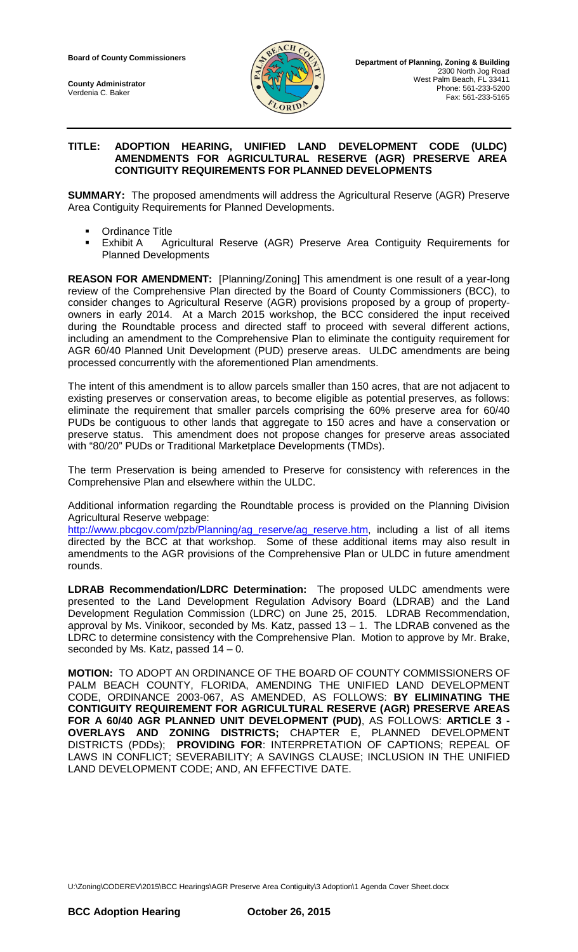**County Administrator** Verdenia C. Baker



### **TITLE: ADOPTION HEARING, UNIFIED LAND DEVELOPMENT CODE (ULDC) AMENDMENTS FOR AGRICULTURAL RESERVE (AGR) PRESERVE AREA CONTIGUITY REQUIREMENTS FOR PLANNED DEVELOPMENTS**

**SUMMARY:** The proposed amendments will address the Agricultural Reserve (AGR) Preserve Area Contiguity Requirements for Planned Developments.

- Ordinance Title
- Exhibit A Agricultural Reserve (AGR) Preserve Area Contiguity Requirements for Planned Developments

**REASON FOR AMENDMENT:** [Planning/Zoning] This amendment is one result of a year-long review of the Comprehensive Plan directed by the Board of County Commissioners (BCC), to consider changes to Agricultural Reserve (AGR) provisions proposed by a group of propertyowners in early 2014. At a March 2015 workshop, the BCC considered the input received during the Roundtable process and directed staff to proceed with several different actions, including an amendment to the Comprehensive Plan to eliminate the contiguity requirement for AGR 60/40 Planned Unit Development (PUD) preserve areas. ULDC amendments are being processed concurrently with the aforementioned Plan amendments.

The intent of this amendment is to allow parcels smaller than 150 acres, that are not adjacent to existing preserves or conservation areas, to become eligible as potential preserves, as follows: eliminate the requirement that smaller parcels comprising the 60% preserve area for 60/40 PUDs be contiguous to other lands that aggregate to 150 acres and have a conservation or preserve status. This amendment does not propose changes for preserve areas associated with "80/20" PUDs or Traditional Marketplace Developments (TMDs).

The term Preservation is being amended to Preserve for consistency with references in the Comprehensive Plan and elsewhere within the ULDC.

Additional information regarding the Roundtable process is provided on the Planning Division Agricultural Reserve webpage:

[http://www.pbcgov.com/pzb/Planning/ag\\_reserve/ag\\_reserve.htm,](http://www.pbcgov.com/pzb/Planning/ag_reserve/ag_reserve.htm) including a list of all items directed by the BCC at that workshop. Some of these additional items may also result in amendments to the AGR provisions of the Comprehensive Plan or ULDC in future amendment rounds.

**LDRAB Recommendation/LDRC Determination:** The proposed ULDC amendments were presented to the Land Development Regulation Advisory Board (LDRAB) and the Land Development Regulation Commission (LDRC) on June 25, 2015. LDRAB Recommendation, approval by Ms. Vinikoor, seconded by Ms. Katz, passed 13 – 1. The LDRAB convened as the LDRC to determine consistency with the Comprehensive Plan. Motion to approve by Mr. Brake, seconded by Ms. Katz, passed  $14 - 0$ .

**MOTION:** TO ADOPT AN ORDINANCE OF THE BOARD OF COUNTY COMMISSIONERS OF PALM BEACH COUNTY, FLORIDA, AMENDING THE UNIFIED LAND DEVELOPMENT CODE, ORDINANCE 2003-067, AS AMENDED, AS FOLLOWS: **BY ELIMINATING THE CONTIGUITY REQUIREMENT FOR AGRICULTURAL RESERVE (AGR) PRESERVE AREAS FOR A 60/40 AGR PLANNED UNIT DEVELOPMENT (PUD)**, AS FOLLOWS: **ARTICLE 3 - OVERLAYS AND ZONING DISTRICTS;** CHAPTER E, PLANNED DEVELOPMENT DISTRICTS (PDDs); **PROVIDING FOR**: INTERPRETATION OF CAPTIONS; REPEAL OF LAWS IN CONFLICT; SEVERABILITY; A SAVINGS CLAUSE; INCLUSION IN THE UNIFIED LAND DEVELOPMENT CODE; AND, AN EFFECTIVE DATE.

U:\Zoning\CODEREV\2015\BCC Hearings\AGR Preserve Area Contiguity\3 Adoption\1 Agenda Cover Sheet.docx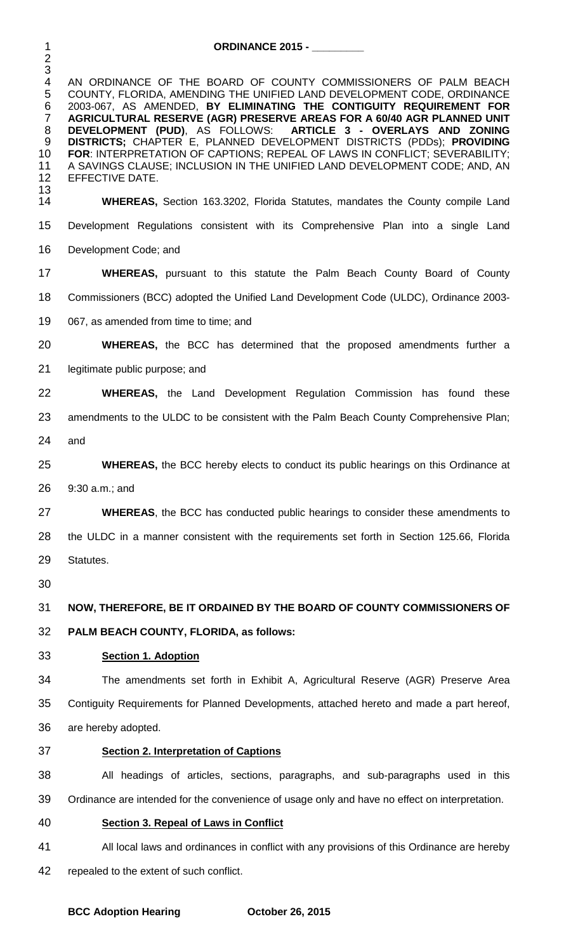| $\mathbf 1$                                                      | <b>ORDINANCE 2015 - _________</b>                                                                                                                                                                                                                                                                                                                                                                                                                                                                                                                |  |  |
|------------------------------------------------------------------|--------------------------------------------------------------------------------------------------------------------------------------------------------------------------------------------------------------------------------------------------------------------------------------------------------------------------------------------------------------------------------------------------------------------------------------------------------------------------------------------------------------------------------------------------|--|--|
| $\overline{c}$<br>3<br>$\overline{4}$                            | AN ORDINANCE OF THE BOARD OF COUNTY COMMISSIONERS OF PALM BEACH                                                                                                                                                                                                                                                                                                                                                                                                                                                                                  |  |  |
| 5<br>6<br>$\overline{7}$<br>$\,8\,$<br>9<br>10<br>11<br>12<br>13 | COUNTY, FLORIDA, AMENDING THE UNIFIED LAND DEVELOPMENT CODE, ORDINANCE<br>2003-067, AS AMENDED, BY ELIMINATING THE CONTIGUITY REQUIREMENT FOR<br>AGRICULTURAL RESERVE (AGR) PRESERVE AREAS FOR A 60/40 AGR PLANNED UNIT<br>DEVELOPMENT (PUD), AS FOLLOWS: ARTICLE 3 - OVERLAYS AND ZONING<br>DISTRICTS; CHAPTER E, PLANNED DEVELOPMENT DISTRICTS (PDDs); PROVIDING<br>FOR: INTERPRETATION OF CAPTIONS; REPEAL OF LAWS IN CONFLICT; SEVERABILITY;<br>A SAVINGS CLAUSE; INCLUSION IN THE UNIFIED LAND DEVELOPMENT CODE; AND, AN<br>EFFECTIVE DATE. |  |  |
| 14                                                               | <b>WHEREAS, Section 163.3202, Florida Statutes, mandates the County compile Land</b>                                                                                                                                                                                                                                                                                                                                                                                                                                                             |  |  |
| 15                                                               | Development Regulations consistent with its Comprehensive Plan into a single Land                                                                                                                                                                                                                                                                                                                                                                                                                                                                |  |  |
| 16                                                               | Development Code; and                                                                                                                                                                                                                                                                                                                                                                                                                                                                                                                            |  |  |
| 17                                                               | <b>WHEREAS, pursuant to this statute the Palm Beach County Board of County</b>                                                                                                                                                                                                                                                                                                                                                                                                                                                                   |  |  |
| 18                                                               | Commissioners (BCC) adopted the Unified Land Development Code (ULDC), Ordinance 2003-                                                                                                                                                                                                                                                                                                                                                                                                                                                            |  |  |
| 19                                                               | 067, as amended from time to time; and                                                                                                                                                                                                                                                                                                                                                                                                                                                                                                           |  |  |
| 20                                                               | <b>WHEREAS</b> , the BCC has determined that the proposed amendments further a                                                                                                                                                                                                                                                                                                                                                                                                                                                                   |  |  |
| 21                                                               | legitimate public purpose; and                                                                                                                                                                                                                                                                                                                                                                                                                                                                                                                   |  |  |
| 22                                                               | <b>WHEREAS,</b> the Land Development Regulation Commission has found these                                                                                                                                                                                                                                                                                                                                                                                                                                                                       |  |  |
| 23                                                               | amendments to the ULDC to be consistent with the Palm Beach County Comprehensive Plan;                                                                                                                                                                                                                                                                                                                                                                                                                                                           |  |  |
| 24                                                               | and                                                                                                                                                                                                                                                                                                                                                                                                                                                                                                                                              |  |  |
| 25                                                               | <b>WHEREAS</b> , the BCC hereby elects to conduct its public hearings on this Ordinance at                                                                                                                                                                                                                                                                                                                                                                                                                                                       |  |  |
| 26                                                               | 9:30 a.m.; and                                                                                                                                                                                                                                                                                                                                                                                                                                                                                                                                   |  |  |
| 27                                                               | <b>WHEREAS, the BCC has conducted public hearings to consider these amendments to</b>                                                                                                                                                                                                                                                                                                                                                                                                                                                            |  |  |
| 28                                                               | the ULDC in a manner consistent with the requirements set forth in Section 125.66, Florida                                                                                                                                                                                                                                                                                                                                                                                                                                                       |  |  |
| 29                                                               | Statutes.                                                                                                                                                                                                                                                                                                                                                                                                                                                                                                                                        |  |  |
| 30                                                               |                                                                                                                                                                                                                                                                                                                                                                                                                                                                                                                                                  |  |  |
| 31                                                               | NOW, THEREFORE, BE IT ORDAINED BY THE BOARD OF COUNTY COMMISSIONERS OF                                                                                                                                                                                                                                                                                                                                                                                                                                                                           |  |  |
| 32                                                               | PALM BEACH COUNTY, FLORIDA, as follows:                                                                                                                                                                                                                                                                                                                                                                                                                                                                                                          |  |  |
| 33                                                               | <b>Section 1. Adoption</b>                                                                                                                                                                                                                                                                                                                                                                                                                                                                                                                       |  |  |
| 34                                                               | The amendments set forth in Exhibit A, Agricultural Reserve (AGR) Preserve Area                                                                                                                                                                                                                                                                                                                                                                                                                                                                  |  |  |
| 35                                                               | Contiguity Requirements for Planned Developments, attached hereto and made a part hereof,                                                                                                                                                                                                                                                                                                                                                                                                                                                        |  |  |
| 36                                                               | are hereby adopted.                                                                                                                                                                                                                                                                                                                                                                                                                                                                                                                              |  |  |
| 37                                                               | <b>Section 2. Interpretation of Captions</b>                                                                                                                                                                                                                                                                                                                                                                                                                                                                                                     |  |  |
| 38                                                               | All headings of articles, sections, paragraphs, and sub-paragraphs used in this                                                                                                                                                                                                                                                                                                                                                                                                                                                                  |  |  |
| 39                                                               | Ordinance are intended for the convenience of usage only and have no effect on interpretation.                                                                                                                                                                                                                                                                                                                                                                                                                                                   |  |  |
| 40                                                               | <b>Section 3. Repeal of Laws in Conflict</b>                                                                                                                                                                                                                                                                                                                                                                                                                                                                                                     |  |  |
| 41                                                               | All local laws and ordinances in conflict with any provisions of this Ordinance are hereby                                                                                                                                                                                                                                                                                                                                                                                                                                                       |  |  |
|                                                                  |                                                                                                                                                                                                                                                                                                                                                                                                                                                                                                                                                  |  |  |

repealed to the extent of such conflict.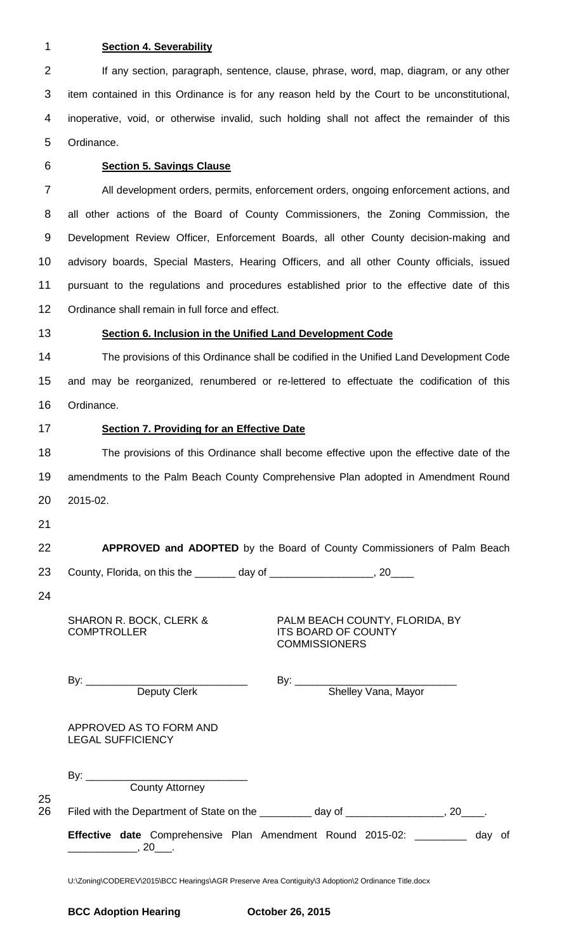### 1 **Section 4. Severability**

2 If any section, paragraph, sentence, clause, phrase, word, map, diagram, or any other item contained in this Ordinance is for any reason held by the Court to be unconstitutional, inoperative, void, or otherwise invalid, such holding shall not affect the remainder of this Ordinance.

## 6 **Section 5. Savings Clause**

 All development orders, permits, enforcement orders, ongoing enforcement actions, and all other actions of the Board of County Commissioners, the Zoning Commission, the Development Review Officer, Enforcement Boards, all other County decision-making and advisory boards, Special Masters, Hearing Officers, and all other County officials, issued pursuant to the regulations and procedures established prior to the effective date of this Ordinance shall remain in full force and effect.

## 13 **Section 6. Inclusion in the Unified Land Development Code**

14 The provisions of this Ordinance shall be codified in the Unified Land Development Code 15 and may be reorganized, renumbered or re-lettered to effectuate the codification of this 16 Ordinance.

## 17 **Section 7. Providing for an Effective Date**

18 The provisions of this Ordinance shall become effective upon the effective date of the 19 amendments to the Palm Beach County Comprehensive Plan adopted in Amendment Round 20 2015-02.

21

# 22 **APPROVED and ADOPTED** by the Board of County Commissioners of Palm Beach

23 County, Florida, on this the \_\_\_\_\_\_\_ day of \_\_\_\_\_\_\_\_\_\_\_\_\_\_\_\_\_\_, 20\_\_\_\_

24

25

SHARON R. BOCK, CLERK & **COMPTROLLER** 

PALM BEACH COUNTY, FLORIDA, BY ITS BOARD OF COUNTY **COMMISSIONERS** 

|          | By: $\_\_$                                                              | By: $\_\_$          |     |    |
|----------|-------------------------------------------------------------------------|---------------------|-----|----|
|          | <b>Deputy Clerk</b>                                                     | Shelley Vana, Mayor |     |    |
|          | APPROVED AS TO FORM AND<br><b>LEGAL SUFFICIENCY</b>                     |                     |     |    |
|          | <b>County Attorney</b>                                                  |                     |     |    |
| 25<br>26 |                                                                         |                     |     |    |
|          | <b>Effective date</b> Comprehensive Plan Amendment Round 2015-02:<br>20 |                     | day | 0f |

U:\Zoning\CODEREV\2015\BCC Hearings\AGR Preserve Area Contiguity\3 Adoption\2 Ordinance Title.docx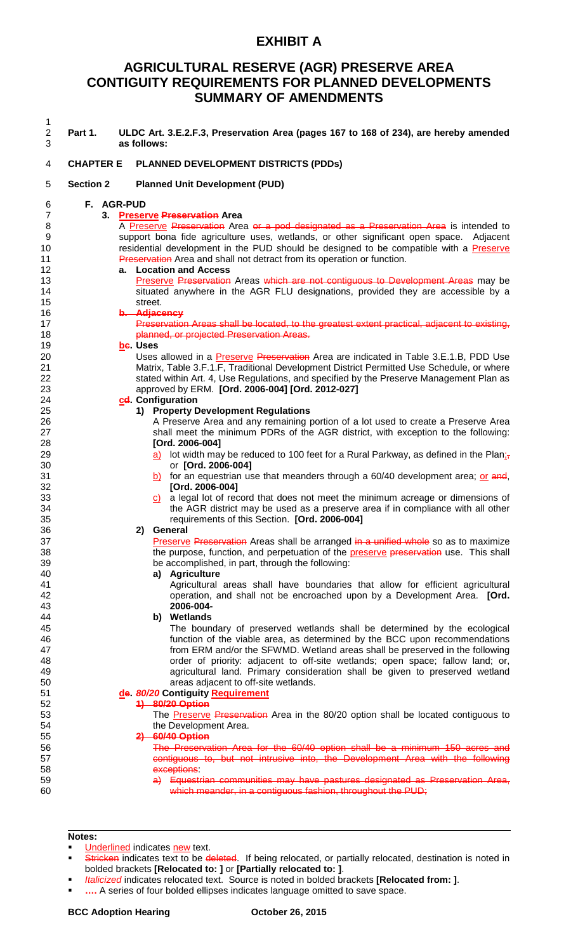## **EXHIBIT A**

# **AGRICULTURAL RESERVE (AGR) PRESERVE AREA CONTIGUITY REQUIREMENTS FOR PLANNED DEVELOPMENTS SUMMARY OF AMENDMENTS**

| 1<br>$\overline{c}$<br>3 | Part 1.          | ULDC Art. 3.E.2.F.3, Preservation Area (pages 167 to 168 of 234), are hereby amended<br>as follows:             |
|--------------------------|------------------|-----------------------------------------------------------------------------------------------------------------|
| 4                        | <b>CHAPTER E</b> | PLANNED DEVELOPMENT DISTRICTS (PDDs)                                                                            |
| 5                        | <b>Section 2</b> | <b>Planned Unit Development (PUD)</b>                                                                           |
| 6                        | F. AGR-PUD       |                                                                                                                 |
| $\overline{7}$           |                  | 3. Preserve Preservation Area                                                                                   |
| 8                        |                  | A Preserve Preservation Area or a pod designated as a Preservation Area is intended to                          |
| 9                        |                  | support bona fide agriculture uses, wetlands, or other significant open space. Adjacent                         |
| 10                       |                  | residential development in the PUD should be designed to be compatible with a Preserve                          |
| 11                       |                  | Preservation Area and shall not detract from its operation or function.                                         |
| 12                       |                  | a. Location and Access                                                                                          |
| 13                       |                  | Preserve Preservation Areas which are not contiguous to Development Areas may be                                |
| 14                       |                  | situated anywhere in the AGR FLU designations, provided they are accessible by a                                |
| 15                       |                  | street.                                                                                                         |
| 16                       |                  | b. Adjacency                                                                                                    |
| 17                       |                  | Preservation Areas shall be located, to the greatest extent practical, adjacent to existing,                    |
| 18                       |                  | planned, or projected Preservation Areas.                                                                       |
| 19                       |                  | be. Uses                                                                                                        |
| 20                       |                  | Uses allowed in a <b>Preserve Preservation</b> Area are indicated in Table 3.E.1.B, PDD Use                     |
| 21                       |                  | Matrix, Table 3.F.1.F, Traditional Development District Permitted Use Schedule, or where                        |
| 22                       |                  | stated within Art. 4, Use Regulations, and specified by the Preserve Management Plan as                         |
| 23                       |                  | approved by ERM. [Ord. 2006-004] [Ord. 2012-027]                                                                |
| 24                       |                  | cel Configuration                                                                                               |
| 25                       |                  | 1) Property Development Regulations                                                                             |
| 26                       |                  | A Preserve Area and any remaining portion of a lot used to create a Preserve Area                               |
| 27                       |                  | shall meet the minimum PDRs of the AGR district, with exception to the following:                               |
| 28                       |                  | [Ord. 2006-004]                                                                                                 |
| 29                       |                  | a) lot width may be reduced to 100 feet for a Rural Parkway, as defined in the Plan <sub>is</sub>               |
|                          |                  | or [Ord. 2006-004]                                                                                              |
| 30<br>31                 |                  |                                                                                                                 |
| 32                       |                  | b) for an equestrian use that meanders through a $60/40$ development area; or and,                              |
| 33                       |                  | [Ord. 2006-004]<br>$\overline{c}$ a legal lot of record that does not meet the minimum acreage or dimensions of |
| 34                       |                  | the AGR district may be used as a preserve area if in compliance with all other                                 |
| 35                       |                  | requirements of this Section. [Ord. 2006-004]                                                                   |
| 36                       |                  | General<br>2)                                                                                                   |
| 37                       |                  | Preserve Preservation Areas shall be arranged in a unified whole so as to maximize                              |
| 38                       |                  | the purpose, function, and perpetuation of the preserve preservation use. This shall                            |
| 39                       |                  | be accomplished, in part, through the following:                                                                |
| 40                       |                  | a) Agriculture                                                                                                  |
| 41                       |                  | Agricultural areas shall have boundaries that allow for efficient agricultural                                  |
| 42                       |                  |                                                                                                                 |
| 43                       |                  | operation, and shall not be encroached upon by a Development Area. [Ord.<br>2006-004-                           |
| 44                       |                  | b) Wetlands                                                                                                     |
|                          |                  |                                                                                                                 |
| 45                       |                  | The boundary of preserved wetlands shall be determined by the ecological                                        |
| 46                       |                  | function of the viable area, as determined by the BCC upon recommendations                                      |
| 47                       |                  | from ERM and/or the SFWMD. Wetland areas shall be preserved in the following                                    |
| 48                       |                  | order of priority: adjacent to off-site wetlands; open space; fallow land; or,                                  |
| 49                       |                  | agricultural land. Primary consideration shall be given to preserved wetland                                    |
| 50                       |                  | areas adjacent to off-site wetlands.                                                                            |
| 51                       |                  | de. 80/20 Contiguity Requirement                                                                                |
| 52                       |                  | 4) 80/20 Option                                                                                                 |
| 53                       |                  | The Preserve Preservation Area in the 80/20 option shall be located contiguous to                               |
| 54                       |                  | the Development Area.                                                                                           |
| 55                       |                  | 2) 60/40 Option                                                                                                 |
| 56                       |                  | The Preservation Area for the 60/40 option shall be a minimum 150 acres and                                     |
| 57                       |                  | contiguous to, but not intrusive into, the Development Area with the following                                  |
| 58                       |                  | exceptions:                                                                                                     |
| 59                       |                  | a) Equestrian communities may have pastures designated as Preservation Area,                                    |
| 60                       |                  | which meander, in a contiguous fashion, throughout the PUD;                                                     |
|                          |                  |                                                                                                                 |

## **Notes:**

- Underlined indicates new text.
- Stricken indicates text to be deleted. If being relocated, or partially relocated, destination is noted in bolded brackets **[Relocated to: ]** or **[Partially relocated to: ]**.
- *Italicized* indicates relocated text. Source is noted in bolded brackets **[Relocated from: ]**.
- **….** A series of four bolded ellipses indicates language omitted to save space.